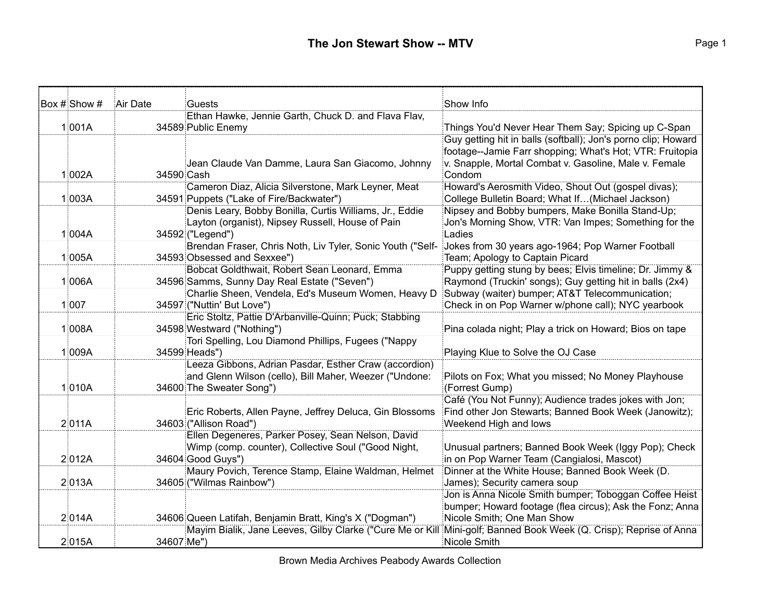| Box # Show # | Air Date   | Guests                                                                   | Show Info                                                                              |
|--------------|------------|--------------------------------------------------------------------------|----------------------------------------------------------------------------------------|
|              |            | Ethan Hawke, Jennie Garth, Chuck D. and Flava Flav,                      |                                                                                        |
| 1 001A       |            | 34589 Public Enemy                                                       | Things You'd Never Hear Them Say; Spicing up C-Span                                    |
|              |            |                                                                          | Guy getting hit in balls (softball); Jon's porno clip; Howard                          |
|              |            |                                                                          | footage--Jamie Farr shopping; What's Hot; VTR: Fruitopia                               |
|              |            | Jean Claude Van Damme, Laura San Giacomo, Johnny                         | v. Snapple, Mortal Combat v. Gasoline, Male v. Female                                  |
| 1 002A       | 34590 Cash |                                                                          | Condom                                                                                 |
|              |            | Cameron Diaz, Alicia Silverstone, Mark Leyner, Meat                      | Howard's Aerosmith Video, Shout Out (gospel divas);                                    |
| 1 003A       |            | 34591 Puppets ("Lake of Fire/Backwater")                                 | College Bulletin Board; What If(Michael Jackson)                                       |
|              |            | Denis Leary, Bobby Bonilla, Curtis Williams, Jr., Eddie                  | Nipsey and Bobby bumpers, Make Bonilla Stand-Up;                                       |
|              |            | Layton (organist), Nipsey Russell, House of Pain                         | Jon's Morning Show, VTR: Van Impes; Something for the                                  |
| 1 004A       |            | 34592 ("Legend")                                                         | Ladies                                                                                 |
|              |            | Brendan Fraser, Chris Noth, Liv Tyler, Sonic Youth ("Self-               | Jokes from 30 years ago-1964; Pop Warner Football                                      |
| 1 005A       |            | 34593 Obsessed and Sexxee")                                              | Team; Apology to Captain Picard                                                        |
|              |            | Bobcat Goldthwait, Robert Sean Leonard, Emma                             | Puppy getting stung by bees; Elvis timeline; Dr. Jimmy &                               |
| 1 006A       |            | 34596 Samms, Sunny Day Real Estate ("Seven")                             | Raymond (Truckin' songs); Guy getting hit in balls (2x4)                               |
|              |            | Charlie Sheen, Vendela, Ed's Museum Women, Heavy D                       | Subway (waiter) bumper; AT&T Telecommunication;                                        |
| 1 007        |            | 34597 ("Nuttin' But Love")                                               | Check in on Pop Warner w/phone call); NYC yearbook                                     |
|              |            | Eric Stoltz, Pattie D'Arbanville-Quinn; Puck; Stabbing                   |                                                                                        |
| 1 008A       |            | 34598 Westward ("Nothing")                                               | Pina colada night; Play a trick on Howard; Bios on tape                                |
|              |            | Tori Spelling, Lou Diamond Phillips, Fugees ("Nappy                      |                                                                                        |
| 1 009A       |            | 34599 Heads")                                                            | Playing Klue to Solve the OJ Case                                                      |
|              |            | Leeza Gibbons, Adrian Pasdar, Esther Craw (accordion)                    |                                                                                        |
|              |            | and Glenn Wilson (cello), Bill Maher, Weezer ("Undone:                   | Pilots on Fox; What you missed; No Money Playhouse                                     |
| 1010A        |            | 34600 The Sweater Song")                                                 | (Forrest Gump)                                                                         |
|              |            |                                                                          | Café (You Not Funny); Audience trades jokes with Jon;                                  |
|              |            | Eric Roberts, Allen Payne, Jeffrey Deluca, Gin Blossoms                  | Find other Jon Stewarts; Banned Book Week (Janowitz);                                  |
| 2 011A       |            | 34603 ("Allison Road")                                                   | Weekend High and lows                                                                  |
|              |            | Ellen Degeneres, Parker Posey, Sean Nelson, David                        |                                                                                        |
|              |            | Wimp (comp. counter), Collective Soul ("Good Night,                      | Unusual partners; Banned Book Week (Iggy Pop); Check                                   |
| 2012A        |            | 34604 Good Guys")<br>Maury Povich, Terence Stamp, Elaine Waldman, Helmet | in on Pop Warner Team (Cangialosi, Mascot)                                             |
|              |            |                                                                          | Dinner at the White House; Banned Book Week (D.                                        |
| 2013A        |            | 34605 ("Wilmas Rainbow")                                                 | James); Security camera soup<br>Jon is Anna Nicole Smith bumper; Toboggan Coffee Heist |
|              |            |                                                                          | bumper; Howard footage (flea circus); Ask the Fonz; Anna                               |
| 2014A        |            | 34606 Queen Latifah, Benjamin Bratt, King's X ("Dogman")                 | Nicole Smith; One Man Show                                                             |
|              |            | Mayim Bialik, Jane Leeves, Gilby Clarke ("Cure Me or Kill                | Mini-golf; Banned Book Week (Q. Crisp); Reprise of Anna                                |
| 2015A        | 34607 Me") |                                                                          | Nicole Smith                                                                           |
|              |            |                                                                          |                                                                                        |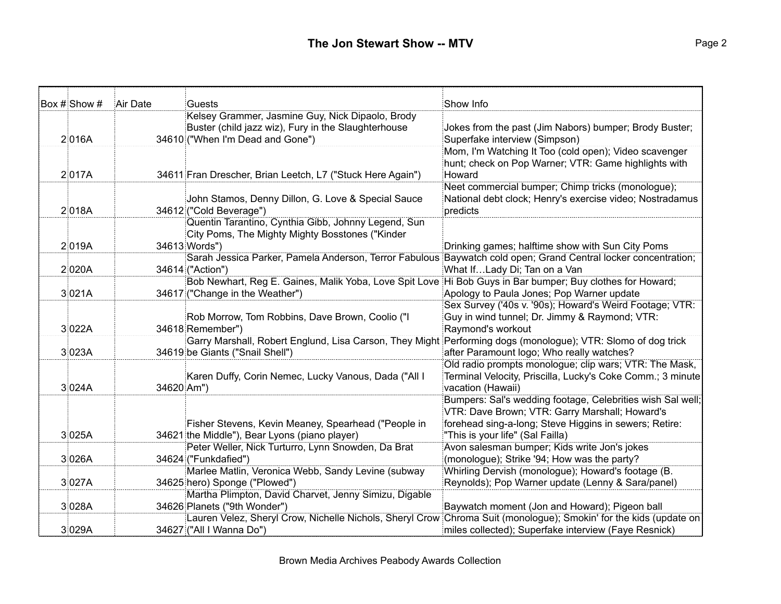| Box # Show # | Air Date   | <b>Guests</b>                                                                                                | Show Info                                                                                                         |
|--------------|------------|--------------------------------------------------------------------------------------------------------------|-------------------------------------------------------------------------------------------------------------------|
|              |            | Kelsey Grammer, Jasmine Guy, Nick Dipaolo, Brody                                                             |                                                                                                                   |
|              |            | Buster (child jazz wiz), Fury in the Slaughterhouse                                                          | Jokes from the past (Jim Nabors) bumper; Brody Buster;                                                            |
| 2016A        |            | 34610 ("When I'm Dead and Gone")                                                                             | Superfake interview (Simpson)                                                                                     |
|              |            |                                                                                                              | Mom, I'm Watching It Too (cold open); Video scavenger                                                             |
|              |            |                                                                                                              | hunt; check on Pop Warner; VTR: Game highlights with                                                              |
| 2017A        |            | 34611 Fran Drescher, Brian Leetch, L7 ("Stuck Here Again")                                                   | Howard                                                                                                            |
|              |            |                                                                                                              | Neet commercial bumper; Chimp tricks (monologue);                                                                 |
|              |            | John Stamos, Denny Dillon, G. Love & Special Sauce                                                           | National debt clock; Henry's exercise video; Nostradamus                                                          |
| 2018A        |            | 34612 ("Cold Beverage")                                                                                      | predicts                                                                                                          |
|              |            | Quentin Tarantino, Cynthia Gibb, Johnny Legend, Sun                                                          |                                                                                                                   |
|              |            | City Poms, The Mighty Mighty Bosstones ("Kinder                                                              |                                                                                                                   |
| 2019A        |            | 34613 Words")                                                                                                | Drinking games; halftime show with Sun City Poms                                                                  |
|              |            |                                                                                                              | Sarah Jessica Parker, Pamela Anderson, Terror Fabulous Baywatch cold open; Grand Central locker concentration;    |
| 2 020A       |            | 34614 ("Action")                                                                                             | What IfLady Di; Tan on a Van                                                                                      |
|              |            | Bob Newhart, Reg E. Gaines, Malik Yoba, Love Spit Love Hi Bob Guys in Bar bumper; Buy clothes for Howard;    |                                                                                                                   |
| 3 021A       |            | 34617 ("Change in the Weather")                                                                              | Apology to Paula Jones; Pop Warner update                                                                         |
|              |            |                                                                                                              | Sex Survey ('40s v. '90s); Howard's Weird Footage; VTR:                                                           |
|              |            | Rob Morrow, Tom Robbins, Dave Brown, Coolio ("I                                                              | Guy in wind tunnel; Dr. Jimmy & Raymond; VTR:                                                                     |
| 3 022A       |            | 34618 Remember")                                                                                             | Raymond's workout                                                                                                 |
|              |            | Garry Marshall, Robert Englund, Lisa Carson, They Might Performing dogs (monologue); VTR: Slomo of dog trick |                                                                                                                   |
| 3 023A       |            | 34619 be Giants ("Snail Shell")                                                                              | after Paramount logo; Who really watches?                                                                         |
|              |            |                                                                                                              | Old radio prompts monologue; clip wars; VTR: The Mask,                                                            |
|              |            | Karen Duffy, Corin Nemec, Lucky Vanous, Dada ("All I                                                         | Terminal Velocity, Priscilla, Lucky's Coke Comm.; 3 minute                                                        |
| 3 024A       | 34620 Am") |                                                                                                              | vacation (Hawaii)                                                                                                 |
|              |            |                                                                                                              | Bumpers: Sal's wedding footage, Celebrities wish Sal well;                                                        |
|              |            |                                                                                                              | VTR: Dave Brown; VTR: Garry Marshall; Howard's                                                                    |
|              |            | Fisher Stevens, Kevin Meaney, Spearhead ("People in                                                          | forehead sing-a-long; Steve Higgins in sewers; Retire:                                                            |
| 3 025A       |            | 34621 the Middle"), Bear Lyons (piano player)                                                                | "This is your life" (Sal Failla)                                                                                  |
|              |            | Peter Weller, Nick Turturro, Lynn Snowden, Da Brat                                                           | Avon salesman bumper; Kids write Jon's jokes                                                                      |
| 3 026A       |            | 34624 ("Funkdafied")                                                                                         | (monologue); Strike '94; How was the party?                                                                       |
|              |            | Marlee Matlin, Veronica Webb, Sandy Levine (subway                                                           | Whirling Dervish (monologue); Howard's footage (B.                                                                |
| 3 027A       |            | 34625 hero) Sponge ("Plowed")                                                                                | Reynolds); Pop Warner update (Lenny & Sara/panel)                                                                 |
|              |            | Martha Plimpton, David Charvet, Jenny Simizu, Digable                                                        |                                                                                                                   |
| 3 028A       |            | 34626 Planets ("9th Wonder")                                                                                 | Baywatch moment (Jon and Howard); Pigeon ball                                                                     |
|              |            |                                                                                                              | Lauren Velez, Sheryl Crow, Nichelle Nichols, Sheryl Crow Chroma Suit (monologue); Smokin' for the kids (update on |
| 3 029A       |            | 34627 ("All I Wanna Do")                                                                                     | miles collected); Superfake interview (Faye Resnick)                                                              |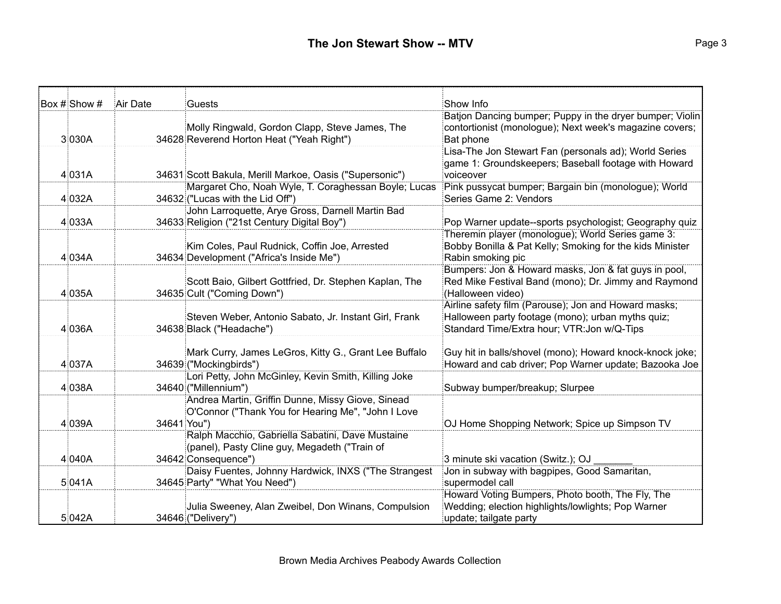| Box # Show # | Air Date    | Guests                                                                                            | Show Info                                                                                                           |
|--------------|-------------|---------------------------------------------------------------------------------------------------|---------------------------------------------------------------------------------------------------------------------|
|              |             |                                                                                                   | Batjon Dancing bumper; Puppy in the dryer bumper; Violin<br>contortionist (monologue); Next week's magazine covers; |
| 3 030A       |             | Molly Ringwald, Gordon Clapp, Steve James, The<br>34628 Reverend Horton Heat ("Yeah Right")       | Bat phone                                                                                                           |
|              |             |                                                                                                   | Lisa-The Jon Stewart Fan (personals ad); World Series                                                               |
|              |             |                                                                                                   | game 1: Groundskeepers; Baseball footage with Howard                                                                |
| 4 031A       |             | 34631 Scott Bakula, Merill Markoe, Oasis ("Supersonic")                                           | voiceover                                                                                                           |
|              |             | Margaret Cho, Noah Wyle, T. Coraghessan Boyle; Lucas                                              | Pink pussycat bumper; Bargain bin (monologue); World                                                                |
| 4 032A       |             | 34632 ("Lucas with the Lid Off")                                                                  | Series Game 2: Vendors                                                                                              |
|              |             | John Larroquette, Arye Gross, Darnell Martin Bad                                                  |                                                                                                                     |
| 4 033A       |             | 34633 Religion ("21st Century Digital Boy")                                                       | Pop Warner update--sports psychologist; Geography quiz<br>Theremin player (monologue); World Series game 3:         |
|              |             | Kim Coles, Paul Rudnick, Coffin Joe, Arrested                                                     | Bobby Bonilla & Pat Kelly; Smoking for the kids Minister                                                            |
| 4 034A       |             | 34634 Development ("Africa's Inside Me")                                                          | Rabin smoking pic                                                                                                   |
|              |             |                                                                                                   | Bumpers: Jon & Howard masks, Jon & fat guys in pool,                                                                |
|              |             | Scott Baio, Gilbert Gottfried, Dr. Stephen Kaplan, The                                            | Red Mike Festival Band (mono); Dr. Jimmy and Raymond                                                                |
| 4 035A       |             | 34635 Cult ("Coming Down")                                                                        | (Halloween video)                                                                                                   |
|              |             |                                                                                                   | Airline safety film (Parouse); Jon and Howard masks;                                                                |
|              |             | Steven Weber, Antonio Sabato, Jr. Instant Girl, Frank                                             | Halloween party footage (mono); urban myths quiz;                                                                   |
| 4036A        |             | 34638 Black ("Headache")                                                                          | Standard Time/Extra hour; VTR: Jon w/Q-Tips                                                                         |
|              |             | Mark Curry, James LeGros, Kitty G., Grant Lee Buffalo                                             | Guy hit in balls/shovel (mono); Howard knock-knock joke;                                                            |
| 4 037A       |             | 34639 ("Mockingbirds")                                                                            | Howard and cab driver; Pop Warner update; Bazooka Joe                                                               |
|              |             | Lori Petty, John McGinley, Kevin Smith, Killing Joke                                              |                                                                                                                     |
| 4 038A       |             | 34640 ("Millennium")                                                                              | Subway bumper/breakup; Slurpee                                                                                      |
|              |             | Andrea Martin, Griffin Dunne, Missy Giove, Sinead                                                 |                                                                                                                     |
|              |             | O'Connor ("Thank You for Hearing Me", "John I Love                                                |                                                                                                                     |
| 4 039A       | 34641 You") |                                                                                                   | OJ Home Shopping Network; Spice up Simpson TV                                                                       |
|              |             | Ralph Macchio, Gabriella Sabatini, Dave Mustaine<br>(panel), Pasty Cline guy, Megadeth ("Train of |                                                                                                                     |
| 4 040A       |             | 34642 Consequence")                                                                               | 3 minute ski vacation (Switz.); OJ                                                                                  |
|              |             | Daisy Fuentes, Johnny Hardwick, INXS ("The Strangest                                              | Jon in subway with bagpipes, Good Samaritan,                                                                        |
| 5 041A       |             | 34645 Party" "What You Need")                                                                     | supermodel call                                                                                                     |
|              |             |                                                                                                   | Howard Voting Bumpers, Photo booth, The Fly, The                                                                    |
|              |             | Julia Sweeney, Alan Zweibel, Don Winans, Compulsion                                               | Wedding; election highlights/lowlights; Pop Warner                                                                  |
| 5 042A       |             | 34646 ("Delivery")                                                                                | update; tailgate party                                                                                              |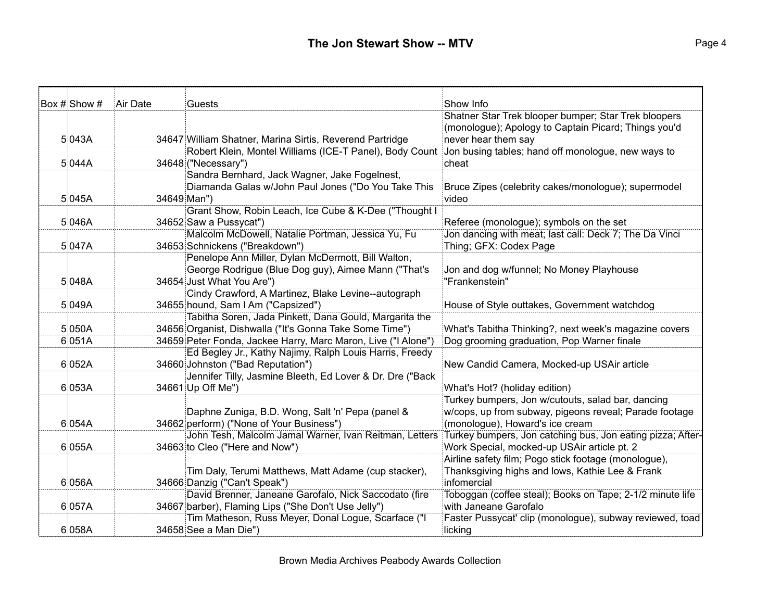| Box # Show # | Air Date | Guests                                                        | Show Info                                                  |
|--------------|----------|---------------------------------------------------------------|------------------------------------------------------------|
|              |          |                                                               | Shatner Star Trek blooper bumper; Star Trek bloopers       |
|              |          |                                                               | (monologue); Apology to Captain Picard; Things you'd       |
| 5 043A       |          | 34647 William Shatner, Marina Sirtis, Reverend Partridge      | never hear them say                                        |
|              |          | Robert Klein, Montel Williams (ICE-T Panel), Body Count       | Jon busing tables; hand off monologue, new ways to         |
| 5 044A       |          | 34648 ("Necessary")                                           | cheat                                                      |
|              |          | Sandra Bernhard, Jack Wagner, Jake Fogelnest,                 |                                                            |
|              |          | Diamanda Galas w/John Paul Jones ("Do You Take This           | Bruce Zipes (celebrity cakes/monologue); supermodel        |
| 5 045A       |          | 34649 Man")                                                   | video                                                      |
|              |          | Grant Show, Robin Leach, Ice Cube & K-Dee ("Thought I         |                                                            |
| 5 046A       |          | 34652 Saw a Pussycat")                                        | Referee (monologue); symbols on the set                    |
|              |          | Malcolm McDowell, Natalie Portman, Jessica Yu, Fu             | Jon dancing with meat; last call: Deck 7; The Da Vinci     |
| 5 047A       |          | 34653 Schnickens ("Breakdown")                                | Thing; GFX: Codex Page                                     |
|              |          | Penelope Ann Miller, Dylan McDermott, Bill Walton,            |                                                            |
|              |          | George Rodrigue (Blue Dog guy), Aimee Mann ("That's           | Jon and dog w/funnel; No Money Playhouse                   |
| 5 048A       |          | 34654 Just What You Are")                                     | "Frankenstein"                                             |
|              |          | Cindy Crawford, A Martinez, Blake Levine--autograph           |                                                            |
| 5 049A       |          | 34655 hound, Sam I Am ("Capsized")                            | House of Style outtakes, Government watchdog               |
|              |          | Tabitha Soren, Jada Pinkett, Dana Gould, Margarita the        |                                                            |
| 5 050A       |          | 34656 Organist, Dishwalla ("It's Gonna Take Some Time")       | What's Tabitha Thinking?, next week's magazine covers      |
| 6 051A       |          | 34659 Peter Fonda, Jackee Harry, Marc Maron, Live ("I Alone") | Dog grooming graduation, Pop Warner finale                 |
|              |          | Ed Begley Jr., Kathy Najimy, Ralph Louis Harris, Freedy       |                                                            |
| 6 052A       |          | 34660 Johnston ("Bad Reputation")                             | New Candid Camera, Mocked-up USAir article                 |
|              |          | Jennifer Tilly, Jasmine Bleeth, Ed Lover & Dr. Dre ("Back     |                                                            |
| 6 053A       |          | 34661 Up Off Me")                                             | What's Hot? (holiday edition)                              |
|              |          |                                                               | Turkey bumpers, Jon w/cutouts, salad bar, dancing          |
|              |          | Daphne Zuniga, B.D. Wong, Salt 'n' Pepa (panel &              | w/cops, up from subway, pigeons reveal; Parade footage     |
| 6 054A       |          | 34662 perform) ("None of Your Business")                      | (monologue), Howard's ice cream                            |
|              |          | John Tesh, Malcolm Jamal Warner, Ivan Reitman, Letters        | Turkey bumpers, Jon catching bus, Jon eating pizza; After- |
| 6055A        |          | 34663 to Cleo ("Here and Now")                                | Work Special, mocked-up USAir article pt. 2                |
|              |          |                                                               | Airline safety film; Pogo stick footage (monologue),       |
|              |          | Tim Daly, Terumi Matthews, Matt Adame (cup stacker),          | Thanksgiving highs and lows, Kathie Lee & Frank            |
| 6 056A       |          | 34666 Danzig ("Can't Speak")                                  | infomercial                                                |
|              |          | David Brenner, Janeane Garofalo, Nick Saccodato (fire         | Toboggan (coffee steal); Books on Tape; 2-1/2 minute life  |
| 6 057A       |          | 34667 barber), Flaming Lips ("She Don't Use Jelly")           | with Janeane Garofalo                                      |
|              |          | Tim Matheson, Russ Meyer, Donal Logue, Scarface ("I           | Faster Pussycat' clip (monologue), subway reviewed, toad   |
| 6 058A       |          | 34658 See a Man Die")                                         | licking                                                    |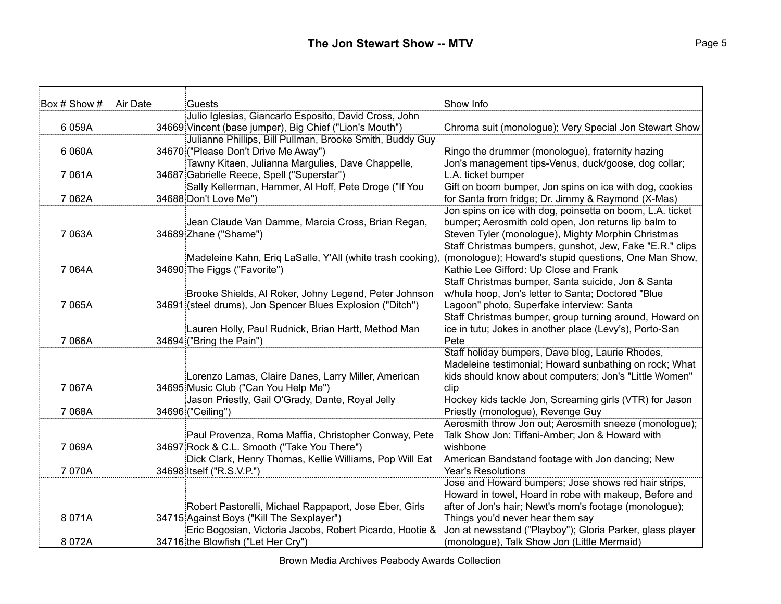| Box # Show # | Air Date | <b>Guests</b>                                                                   | Show Info                                                       |
|--------------|----------|---------------------------------------------------------------------------------|-----------------------------------------------------------------|
|              |          | Julio Iglesias, Giancarlo Esposito, David Cross, John                           |                                                                 |
| 6 059A       |          | 34669 Vincent (base jumper), Big Chief ("Lion's Mouth")                         | Chroma suit (monologue); Very Special Jon Stewart Show          |
|              |          | Julianne Phillips, Bill Pullman, Brooke Smith, Buddy Guy                        |                                                                 |
| 6 060A       |          | 34670 ("Please Don't Drive Me Away")                                            | Ringo the drummer (monologue), fraternity hazing                |
|              |          | Tawny Kitaen, Julianna Margulies, Dave Chappelle,                               | Jon's management tips-Venus, duck/goose, dog collar;            |
| 7061A        |          | 34687 Gabrielle Reece, Spell ("Superstar")                                      | L.A. ticket bumper                                              |
|              |          | Sally Kellerman, Hammer, AI Hoff, Pete Droge ("If You                           | Gift on boom bumper, Jon spins on ice with dog, cookies         |
| 7 062A       |          | 34688 Don't Love Me")                                                           | for Santa from fridge; Dr. Jimmy & Raymond (X-Mas)              |
|              |          |                                                                                 | Jon spins on ice with dog, poinsetta on boom, L.A. ticket       |
|              |          | Jean Claude Van Damme, Marcia Cross, Brian Regan,                               | bumper; Aerosmith cold open, Jon returns lip balm to            |
| 7 063A       |          | 34689 Zhane ("Shame")                                                           | Steven Tyler (monologue), Mighty Morphin Christmas              |
|              |          |                                                                                 | Staff Christmas bumpers, gunshot, Jew, Fake "E.R." clips        |
|              |          | Madeleine Kahn, Erig LaSalle, Y'All (white trash cooking).                      | (monologue); Howard's stupid questions, One Man Show,           |
| 7 064A       |          | 34690 The Figgs ("Favorite")                                                    | Kathie Lee Gifford: Up Close and Frank                          |
|              |          |                                                                                 | Staff Christmas bumper, Santa suicide, Jon & Santa              |
|              |          | Brooke Shields, Al Roker, Johny Legend, Peter Johnson                           | w/hula hoop, Jon's letter to Santa; Doctored "Blue              |
| 7 065A       |          | 34691 (steel drums), Jon Spencer Blues Explosion ("Ditch")                      | Lagoon" photo, Superfake interview: Santa                       |
|              |          |                                                                                 | Staff Christmas bumper, group turning around, Howard on         |
| 7 066A       |          | Lauren Holly, Paul Rudnick, Brian Hartt, Method Man<br>34694 ("Bring the Pain") | ice in tutu; Jokes in another place (Levy's), Porto-San<br>Pete |
|              |          |                                                                                 | Staff holiday bumpers, Dave blog, Laurie Rhodes,                |
|              |          |                                                                                 | Madeleine testimonial; Howard sunbathing on rock; What          |
|              |          | Lorenzo Lamas, Claire Danes, Larry Miller, American                             | kids should know about computers; Jon's "Little Women"          |
| 7 067A       |          | 34695 Music Club ("Can You Help Me")                                            | clip                                                            |
|              |          | Jason Priestly, Gail O'Grady, Dante, Royal Jelly                                | Hockey kids tackle Jon, Screaming girls (VTR) for Jason         |
| 7068A        |          | 34696 ("Ceiling")                                                               | Priestly (monologue), Revenge Guy                               |
|              |          |                                                                                 | Aerosmith throw Jon out; Aerosmith sneeze (monologue);          |
|              |          | Paul Provenza, Roma Maffia, Christopher Conway, Pete                            | Talk Show Jon: Tiffani-Amber; Jon & Howard with                 |
| 7 069A       |          | 34697 Rock & C.L. Smooth ("Take You There")                                     | wishbone                                                        |
|              |          | Dick Clark, Henry Thomas, Kellie Williams, Pop Will Eat                         | American Bandstand footage with Jon dancing; New                |
| 7070A        |          | 34698 Itself ("R.S.V.P.")                                                       | <b>Year's Resolutions</b>                                       |
|              |          |                                                                                 | Jose and Howard bumpers; Jose shows red hair strips,            |
|              |          |                                                                                 | Howard in towel, Hoard in robe with makeup, Before and          |
|              |          | Robert Pastorelli, Michael Rappaport, Jose Eber, Girls                          | after of Jon's hair; Newt's mom's footage (monologue);          |
| 8071A        |          | 34715 Against Boys ("Kill The Sexplayer")                                       | Things you'd never hear them say                                |
|              |          | Eric Bogosian, Victoria Jacobs, Robert Picardo, Hootie &                        | Jon at newsstand ("Playboy"); Gloria Parker, glass player       |
| 8 072A       |          | 34716 the Blowfish ("Let Her Cry")                                              | (monologue), Talk Show Jon (Little Mermaid)                     |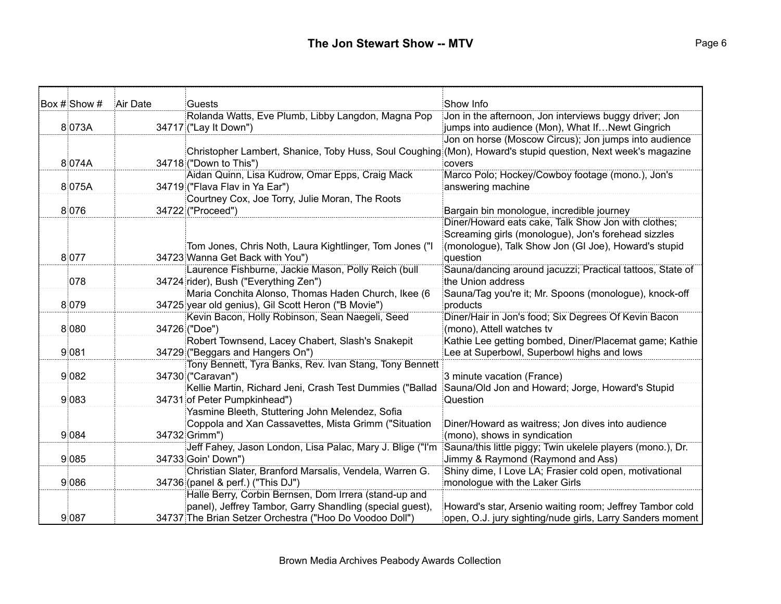| Box # Show # | Air Date | Guests                                                                                                       | Show Info                                                                                        |
|--------------|----------|--------------------------------------------------------------------------------------------------------------|--------------------------------------------------------------------------------------------------|
|              |          | Rolanda Watts, Eve Plumb, Libby Langdon, Magna Pop                                                           | Jon in the afternoon, Jon interviews buggy driver; Jon                                           |
| 8 073A       |          | 34717 ("Lay It Down")                                                                                        | jumps into audience (Mon), What IfNewt Gingrich                                                  |
|              |          |                                                                                                              | Jon on horse (Moscow Circus); Jon jumps into audience                                            |
|              |          | Christopher Lambert, Shanice, Toby Huss, Soul Coughing (Mon), Howard's stupid question, Next week's magazine |                                                                                                  |
| 8074A        |          | 34718 ("Down to This")                                                                                       | covers                                                                                           |
|              |          | Aidan Quinn, Lisa Kudrow, Omar Epps, Craig Mack                                                              | Marco Polo; Hockey/Cowboy footage (mono.), Jon's                                                 |
| 8 075A       |          | 34719 ("Flava Flav in Ya Ear")                                                                               | answering machine                                                                                |
|              |          | Courtney Cox, Joe Torry, Julie Moran, The Roots                                                              |                                                                                                  |
| 8 0 7 6      |          | 34722 ("Proceed")                                                                                            | Bargain bin monologue, incredible journey<br>Diner/Howard eats cake, Talk Show Jon with clothes; |
|              |          |                                                                                                              | Screaming girls (monologue), Jon's forehead sizzles                                              |
|              |          | Tom Jones, Chris Noth, Laura Kightlinger, Tom Jones ("I                                                      | (monologue), Talk Show Jon (GI Joe), Howard's stupid                                             |
| 8 0 7 7      |          | 34723 Wanna Get Back with You")                                                                              | question                                                                                         |
|              |          | Laurence Fishburne, Jackie Mason, Polly Reich (bull                                                          | Sauna/dancing around jacuzzi; Practical tattoos, State of                                        |
| 078          |          | 34724 rider), Bush ("Everything Zen")                                                                        | the Union address                                                                                |
|              |          | Maria Conchita Alonso, Thomas Haden Church, Ikee (6                                                          | Sauna/Tag you're it; Mr. Spoons (monologue), knock-off                                           |
| 8 0 7 9      |          | 34725 year old genius), Gil Scott Heron ("B Movie")                                                          | products                                                                                         |
|              |          | Kevin Bacon, Holly Robinson, Sean Naegeli, Seed                                                              | Diner/Hair in Jon's food; Six Degrees Of Kevin Bacon                                             |
| 8 0 8 0      |          | 34726 ("Doe")                                                                                                | (mono), Attell watches tv                                                                        |
|              |          | Robert Townsend, Lacey Chabert, Slash's Snakepit                                                             | Kathie Lee getting bombed, Diner/Placemat game; Kathie                                           |
| 9 081        |          | 34729 ("Beggars and Hangers On")                                                                             | Lee at Superbowl, Superbowl highs and lows                                                       |
|              |          | Tony Bennett, Tyra Banks, Rev. Ivan Stang, Tony Bennett                                                      |                                                                                                  |
| 9 0 8 2      |          | 34730 ("Caravan")                                                                                            | 3 minute vacation (France)                                                                       |
|              |          | Kellie Martin, Richard Jeni, Crash Test Dummies ("Ballad                                                     | Sauna/Old Jon and Howard; Jorge, Howard's Stupid                                                 |
| 9 0 8 3      |          | 34731 of Peter Pumpkinhead")                                                                                 | Question                                                                                         |
|              |          | Yasmine Bleeth, Stuttering John Melendez, Sofia                                                              |                                                                                                  |
|              |          | Coppola and Xan Cassavettes, Mista Grimm ("Situation                                                         | Diner/Howard as waitress; Jon dives into audience                                                |
| 9 0 8 4      |          | 34732 Grimm")                                                                                                | (mono), shows in syndication                                                                     |
|              |          | Jeff Fahey, Jason London, Lisa Palac, Mary J. Blige ("I'm                                                    | Sauna/this little piggy; Twin ukelele players (mono.), Dr.                                       |
| 9 0 8 5      |          | 34733 Goin' Down")                                                                                           | Jimmy & Raymond (Raymond and Ass)                                                                |
|              |          | Christian Slater, Branford Marsalis, Vendela, Warren G.                                                      | Shiny dime, I Love LA; Frasier cold open, motivational                                           |
| 9 0 8 6      |          | 34736 (panel & perf.) ("This DJ")                                                                            | monologue with the Laker Girls                                                                   |
|              |          | Halle Berry, Corbin Bernsen, Dom Irrera (stand-up and                                                        |                                                                                                  |
|              |          | panel), Jeffrey Tambor, Garry Shandling (special guest),                                                     | Howard's star, Arsenio waiting room; Jeffrey Tambor cold                                         |
| 9 0 8 7      |          | 34737 The Brian Setzer Orchestra ("Hoo Do Voodoo Doll")                                                      | open, O.J. jury sighting/nude girls, Larry Sanders moment                                        |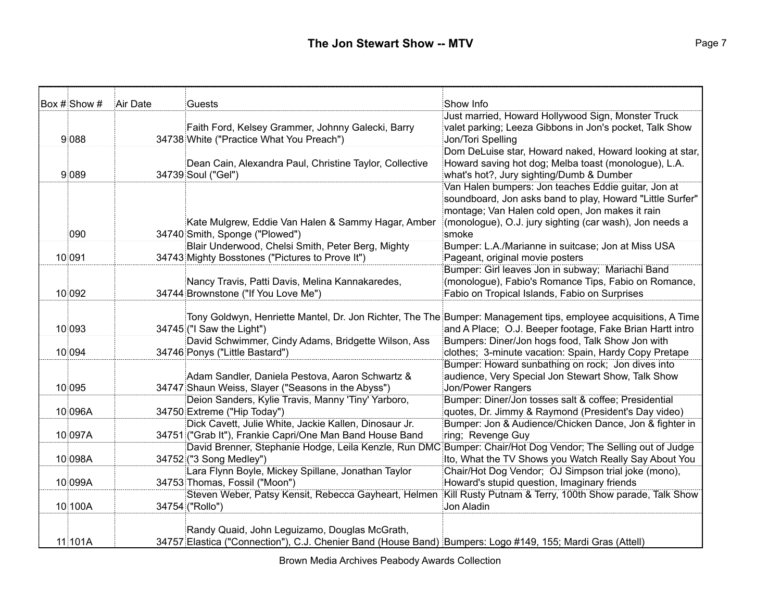| Box # Show # | Air Date | Guests                                                                                                     | Show Info                                                                                                       |
|--------------|----------|------------------------------------------------------------------------------------------------------------|-----------------------------------------------------------------------------------------------------------------|
|              |          |                                                                                                            | Just married, Howard Hollywood Sign, Monster Truck                                                              |
|              |          | Faith Ford, Kelsey Grammer, Johnny Galecki, Barry                                                          | valet parking; Leeza Gibbons in Jon's pocket, Talk Show                                                         |
| 9 0 8 8      |          | 34738 White ("Practice What You Preach")                                                                   | Jon/Tori Spelling                                                                                               |
|              |          |                                                                                                            | Dom DeLuise star, Howard naked, Howard looking at star,                                                         |
|              |          | Dean Cain, Alexandra Paul, Christine Taylor, Collective                                                    | Howard saving hot dog; Melba toast (monologue), L.A.                                                            |
| 9 0 8 9      |          | 34739 Soul ("Gel")                                                                                         | what's hot?, Jury sighting/Dumb & Dumber                                                                        |
|              |          |                                                                                                            | Van Halen bumpers: Jon teaches Eddie guitar, Jon at                                                             |
|              |          |                                                                                                            | soundboard, Jon asks band to play, Howard "Little Surfer"                                                       |
|              |          |                                                                                                            | montage; Van Halen cold open, Jon makes it rain                                                                 |
|              |          | Kate Mulgrew, Eddie Van Halen & Sammy Hagar, Amber                                                         | (monologue), O.J. jury sighting (car wash), Jon needs a                                                         |
| 090          |          | 34740 Smith, Sponge ("Plowed")                                                                             | smoke                                                                                                           |
|              |          | Blair Underwood, Chelsi Smith, Peter Berg, Mighty                                                          | Bumper: L.A./Marianne in suitcase; Jon at Miss USA                                                              |
| 10 091       |          | 34743 Mighty Bosstones ("Pictures to Prove It")                                                            | Pageant, original movie posters                                                                                 |
|              |          |                                                                                                            | Bumper: Girl leaves Jon in subway; Mariachi Band                                                                |
|              |          | Nancy Travis, Patti Davis, Melina Kannakaredes,                                                            | (monologue), Fabio's Romance Tips, Fabio on Romance,                                                            |
| 10 092       |          | 34744 Brownstone ("If You Love Me")                                                                        | Fabio on Tropical Islands, Fabio on Surprises                                                                   |
|              |          |                                                                                                            |                                                                                                                 |
|              |          |                                                                                                            | Tony Goldwyn, Henriette Mantel, Dr. Jon Richter, The The Bumper: Management tips, employee acquisitions, A Time |
| 10 093       |          | 34745 ("I Saw the Light")                                                                                  | and A Place; O.J. Beeper footage, Fake Brian Hartt intro                                                        |
|              |          | David Schwimmer, Cindy Adams, Bridgette Wilson, Ass                                                        | Bumpers: Diner/Jon hogs food, Talk Show Jon with                                                                |
| 10 094       |          | 34746 Ponys ("Little Bastard")                                                                             | clothes; 3-minute vacation: Spain, Hardy Copy Pretape                                                           |
|              |          |                                                                                                            | Bumper: Howard sunbathing on rock; Jon dives into                                                               |
| 10 095       |          | Adam Sandler, Daniela Pestova, Aaron Schwartz &<br>34747 Shaun Weiss, Slayer ("Seasons in the Abyss")      | audience, Very Special Jon Stewart Show, Talk Show<br><b>Jon/Power Rangers</b>                                  |
|              |          | Deion Sanders, Kylie Travis, Manny 'Tiny' Yarboro,                                                         | Bumper: Diner/Jon tosses salt & coffee; Presidential                                                            |
| 10 096A      |          | 34750 Extreme ("Hip Today")                                                                                | quotes, Dr. Jimmy & Raymond (President's Day video)                                                             |
|              |          | Dick Cavett, Julie White, Jackie Kallen, Dinosaur Jr.                                                      | Bumper: Jon & Audience/Chicken Dance, Jon & fighter in                                                          |
| 10 097A      |          | 34751 ("Grab It"), Frankie Capri/One Man Band House Band                                                   | ring; Revenge Guy                                                                                               |
|              |          |                                                                                                            | David Brenner, Stephanie Hodge, Leila Kenzle, Run DMC Bumper: Chair/Hot Dog Vendor; The Selling out of Judge    |
| 10 098A      |          | 34752 ("3 Song Medley")                                                                                    | Ito, What the TV Shows you Watch Really Say About You                                                           |
|              |          | Lara Flynn Boyle, Mickey Spillane, Jonathan Taylor                                                         | Chair/Hot Dog Vendor; OJ Simpson trial joke (mono),                                                             |
| 10 099A      |          | 34753 Thomas, Fossil ("Moon")                                                                              |                                                                                                                 |
|              |          | Steven Weber, Patsy Kensit, Rebecca Gayheart, Helmen                                                       | Howard's stupid question, Imaginary friends<br>Kill Rusty Putnam & Terry, 100th Show parade, Talk Show          |
| 10100A       |          | 34754 ("Rollo")                                                                                            | Jon Aladin                                                                                                      |
|              |          |                                                                                                            |                                                                                                                 |
|              |          | Randy Quaid, John Leguizamo, Douglas McGrath,                                                              |                                                                                                                 |
| 11 101A      |          | 34757 Elastica ("Connection"), C.J. Chenier Band (House Band) Bumpers: Logo #149, 155; Mardi Gras (Attell) |                                                                                                                 |
|              |          |                                                                                                            |                                                                                                                 |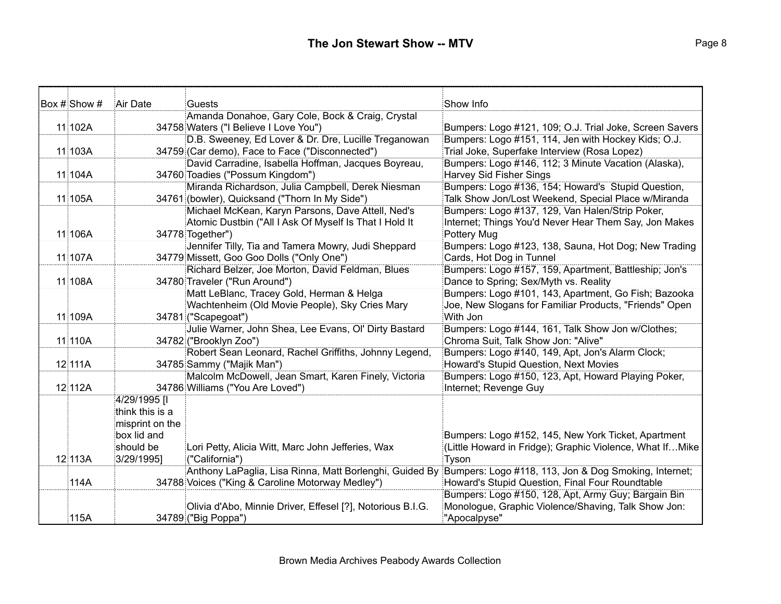| Box # Show # | Air Date        | Guests                                                     | Show Info                                                |
|--------------|-----------------|------------------------------------------------------------|----------------------------------------------------------|
|              |                 | Amanda Donahoe, Gary Cole, Bock & Craig, Crystal           |                                                          |
| 11 102A      |                 | 34758 Waters ("I Believe I Love You")                      | Bumpers: Logo #121, 109; O.J. Trial Joke, Screen Savers  |
|              |                 | D.B. Sweeney, Ed Lover & Dr. Dre, Lucille Treganowan       | Bumpers: Logo #151, 114, Jen with Hockey Kids; O.J.      |
| 11 103A      |                 | 34759 (Car demo), Face to Face ("Disconnected")            | Trial Joke, Superfake Interview (Rosa Lopez)             |
|              |                 | David Carradine, Isabella Hoffman, Jacques Boyreau,        | Bumpers: Logo #146, 112; 3 Minute Vacation (Alaska),     |
| 11 104A      |                 | 34760 Toadies ("Possum Kingdom")                           | Harvey Sid Fisher Sings                                  |
|              |                 | Miranda Richardson, Julia Campbell, Derek Niesman          | Bumpers: Logo #136, 154; Howard's Stupid Question,       |
| 11 105A      |                 | 34761 (bowler), Quicksand ("Thorn In My Side")             | Talk Show Jon/Lost Weekend, Special Place w/Miranda      |
|              |                 | Michael McKean, Karyn Parsons, Dave Attell, Ned's          | Bumpers: Logo #137, 129, Van Halen/Strip Poker,          |
|              |                 | Atomic Dustbin ("All I Ask Of Myself Is That I Hold It     | Internet; Things You'd Never Hear Them Say, Jon Makes    |
| 11 106A      |                 | 34778 Together")                                           | Pottery Mug                                              |
|              |                 | Jennifer Tilly, Tia and Tamera Mowry, Judi Sheppard        | Bumpers: Logo #123, 138, Sauna, Hot Dog; New Trading     |
| 11 107A      |                 | 34779 Missett, Goo Goo Dolls ("Only One")                  | Cards, Hot Dog in Tunnel                                 |
|              |                 | Richard Belzer, Joe Morton, David Feldman, Blues           | Bumpers: Logo #157, 159, Apartment, Battleship; Jon's    |
| 11 108A      |                 | 34780 Traveler ("Run Around")                              | Dance to Spring; Sex/Myth vs. Reality                    |
|              |                 | Matt LeBlanc, Tracey Gold, Herman & Helga                  | Bumpers: Logo #101, 143, Apartment, Go Fish; Bazooka     |
|              |                 | Wachtenheim (Old Movie People), Sky Cries Mary             | Joe, New Slogans for Familiar Products, "Friends" Open   |
| 11 109A      |                 | 34781 ("Scapegoat")                                        | With Jon                                                 |
|              |                 | Julie Warner, John Shea, Lee Evans, Ol' Dirty Bastard      | Bumpers: Logo #144, 161, Talk Show Jon w/Clothes;        |
| 11 110A      |                 | 34782 ("Brooklyn Zoo")                                     | Chroma Suit, Talk Show Jon: "Alive"                      |
|              |                 | Robert Sean Leonard, Rachel Griffiths, Johnny Legend,      | Bumpers: Logo #140, 149, Apt, Jon's Alarm Clock;         |
| 12 111A      |                 | 34785 Sammy ("Majik Man")                                  | Howard's Stupid Question, Next Movies                    |
|              |                 | Malcolm McDowell, Jean Smart, Karen Finely, Victoria       | Bumpers: Logo #150, 123, Apt, Howard Playing Poker,      |
| 12112A       |                 | 34786 Williams ("You Are Loved")                           | Internet; Revenge Guy                                    |
|              | 4/29/1995 [I    |                                                            |                                                          |
|              | think this is a |                                                            |                                                          |
|              | misprint on the |                                                            |                                                          |
|              | box lid and     |                                                            | Bumpers: Logo #152, 145, New York Ticket, Apartment      |
|              | should be       | Lori Petty, Alicia Witt, Marc John Jefferies, Wax          | (Little Howard in Fridge); Graphic Violence, What IfMike |
| 12 113A      | 3/29/1995]      | ("California")                                             | Tyson                                                    |
|              |                 | Anthony LaPaglia, Lisa Rinna, Matt Borlenghi, Guided By    | Bumpers: Logo #118, 113, Jon & Dog Smoking, Internet;    |
| 114A         |                 | 34788 Voices ("King & Caroline Motorway Medley")           | Howard's Stupid Question, Final Four Roundtable          |
|              |                 |                                                            | Bumpers: Logo #150, 128, Apt, Army Guy; Bargain Bin      |
|              |                 | Olivia d'Abo, Minnie Driver, Effesel [?], Notorious B.I.G. | Monologue, Graphic Violence/Shaving, Talk Show Jon:      |
| 115A         |                 | 34789 ("Big Poppa")                                        | "Apocalpyse"                                             |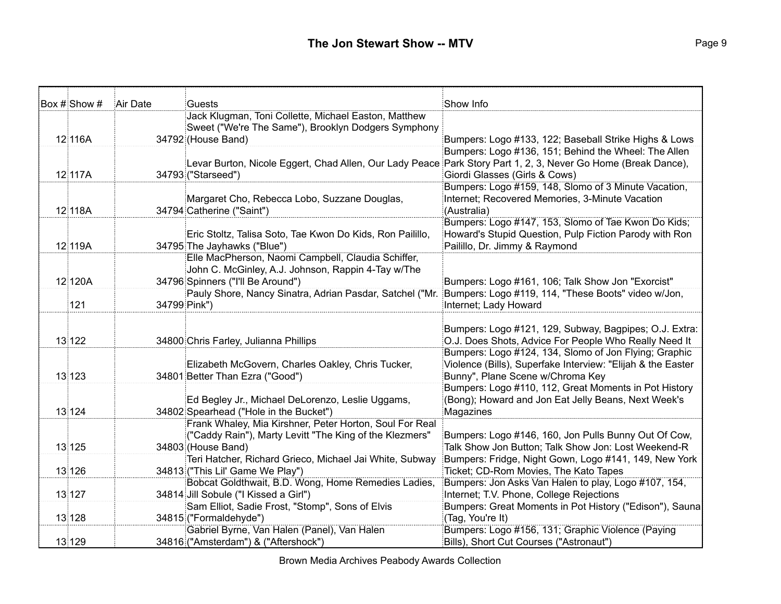| Box # Show # | Air Date     | Guests                                                                                  | Show Info                                                                                                |
|--------------|--------------|-----------------------------------------------------------------------------------------|----------------------------------------------------------------------------------------------------------|
|              |              | Jack Klugman, Toni Collette, Michael Easton, Matthew                                    |                                                                                                          |
|              |              | Sweet ("We're The Same"), Brooklyn Dodgers Symphony                                     |                                                                                                          |
| 12 116A      |              | 34792 (House Band)                                                                      | Bumpers: Logo #133, 122; Baseball Strike Highs & Lows                                                    |
|              |              |                                                                                         | Bumpers: Logo #136, 151; Behind the Wheel: The Allen                                                     |
|              |              | Levar Burton, Nicole Eggert, Chad Allen, Our Lady Peace                                 | Park Story Part 1, 2, 3, Never Go Home (Break Dance),                                                    |
| 12 117A      |              | 34793 ("Starseed")                                                                      | Giordi Glasses (Girls & Cows)                                                                            |
|              |              |                                                                                         | Bumpers: Logo #159, 148, Slomo of 3 Minute Vacation,                                                     |
|              |              | Margaret Cho, Rebecca Lobo, Suzzane Douglas,                                            | Internet; Recovered Memories, 3-Minute Vacation                                                          |
| 12 118A      |              | 34794 Catherine ("Saint")                                                               | (Australia)                                                                                              |
|              |              |                                                                                         | Bumpers: Logo #147, 153, Slomo of Tae Kwon Do Kids;                                                      |
|              |              | Eric Stoltz, Talisa Soto, Tae Kwon Do Kids, Ron Pailillo,                               | Howard's Stupid Question, Pulp Fiction Parody with Ron                                                   |
| 12 119A      |              | 34795 The Jayhawks ("Blue")                                                             | Pailillo, Dr. Jimmy & Raymond                                                                            |
|              |              | Elle MacPherson, Naomi Campbell, Claudia Schiffer,                                      |                                                                                                          |
| 12120A       |              | John C. McGinley, A.J. Johnson, Rappin 4-Tay w/The<br>34796 Spinners ("I'll Be Around") |                                                                                                          |
|              |              | Pauly Shore, Nancy Sinatra, Adrian Pasdar, Satchel ("Mr.                                | Bumpers: Logo #161, 106; Talk Show Jon "Exorcist"<br>Bumpers: Logo #119, 114, "These Boots" video w/Jon, |
| 121          |              |                                                                                         | Internet; Lady Howard                                                                                    |
|              | 34799 Pink") |                                                                                         |                                                                                                          |
|              |              |                                                                                         | Bumpers: Logo #121, 129, Subway, Bagpipes; O.J. Extra:                                                   |
| 13 122       |              | 34800 Chris Farley, Julianna Phillips                                                   | O.J. Does Shots, Advice For People Who Really Need It                                                    |
|              |              |                                                                                         | Bumpers: Logo #124, 134, Slomo of Jon Flying; Graphic                                                    |
|              |              | Elizabeth McGovern, Charles Oakley, Chris Tucker,                                       | Violence (Bills), Superfake Interview: "Elijah & the Easter                                              |
| 13 123       |              | 34801 Better Than Ezra ("Good")                                                         | Bunny", Plane Scene w/Chroma Key                                                                         |
|              |              |                                                                                         | Bumpers: Logo #110, 112, Great Moments in Pot History                                                    |
|              |              | Ed Begley Jr., Michael DeLorenzo, Leslie Uggams,                                        | (Bong); Howard and Jon Eat Jelly Beans, Next Week's                                                      |
| 13 124       |              | 34802 Spearhead ("Hole in the Bucket")                                                  | Magazines                                                                                                |
|              |              | Frank Whaley, Mia Kirshner, Peter Horton, Soul For Real                                 |                                                                                                          |
|              |              | ("Caddy Rain"), Marty Levitt "The King of the Klezmers"                                 | Bumpers: Logo #146, 160, Jon Pulls Bunny Out Of Cow,                                                     |
| 13 125       |              | 34803 (House Band)                                                                      | Talk Show Jon Button; Talk Show Jon: Lost Weekend-R                                                      |
|              |              | Teri Hatcher, Richard Grieco, Michael Jai White, Subway                                 | Bumpers: Fridge, Night Gown, Logo #141, 149, New York                                                    |
| 13 126       |              | 34813 ("This Lil' Game We Play")                                                        | Ticket; CD-Rom Movies, The Kato Tapes                                                                    |
|              |              | Bobcat Goldthwait, B.D. Wong, Home Remedies Ladies,                                     | Bumpers: Jon Asks Van Halen to play, Logo #107, 154,                                                     |
| 13 127       |              | 34814 Jill Sobule ("I Kissed a Girl")                                                   | Internet; T.V. Phone, College Rejections                                                                 |
|              |              | Sam Elliot, Sadie Frost, "Stomp", Sons of Elvis                                         | Bumpers: Great Moments in Pot History ("Edison"), Sauna                                                  |
| 13 128       |              | 34815 ("Formaldehyde")                                                                  | (Tag, You're It)                                                                                         |
|              |              | Gabriel Byrne, Van Halen (Panel), Van Halen                                             | Bumpers: Logo #156, 131; Graphic Violence (Paying                                                        |
| 13 129       |              | 34816 ("Amsterdam") & ("Aftershock")                                                    | Bills), Short Cut Courses ("Astronaut")                                                                  |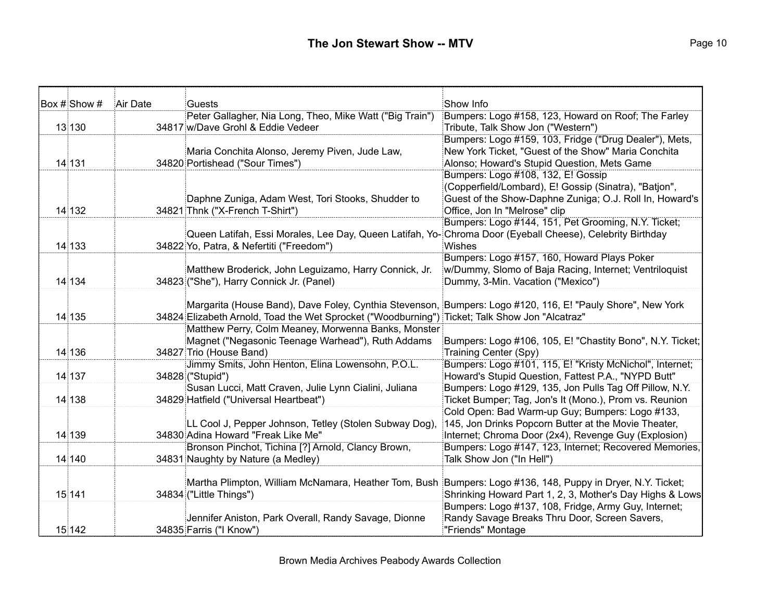| Box # Show # | Air Date | Guests                                                                                                     | Show Info                                                                          |
|--------------|----------|------------------------------------------------------------------------------------------------------------|------------------------------------------------------------------------------------|
|              |          | Peter Gallagher, Nia Long, Theo, Mike Watt ("Big Train")                                                   | Bumpers: Logo #158, 123, Howard on Roof; The Farley                                |
| 13 130       |          | 34817 w/Dave Grohl & Eddie Vedeer                                                                          | Tribute, Talk Show Jon ("Western")                                                 |
|              |          |                                                                                                            | Bumpers: Logo #159, 103, Fridge ("Drug Dealer"), Mets,                             |
|              |          | Maria Conchita Alonso, Jeremy Piven, Jude Law,                                                             | New York Ticket, "Guest of the Show" Maria Conchita                                |
| 14 131       |          | 34820 Portishead ("Sour Times")                                                                            | Alonso; Howard's Stupid Question, Mets Game                                        |
|              |          |                                                                                                            | Bumpers: Logo #108, 132, E! Gossip                                                 |
|              |          |                                                                                                            | (Copperfield/Lombard), E! Gossip (Sinatra), "Batjon",                              |
|              |          | Daphne Zuniga, Adam West, Tori Stooks, Shudder to                                                          | Guest of the Show-Daphne Zuniga; O.J. Roll In, Howard's                            |
| 14 132       |          | 34821 Thnk ("X-French T-Shirt")                                                                            | Office, Jon In "Melrose" clip                                                      |
|              |          |                                                                                                            | Bumpers: Logo #144, 151, Pet Grooming, N.Y. Ticket;                                |
|              |          | Queen Latifah, Essi Morales, Lee Day, Queen Latifah, Yo- Chroma Door (Eyeball Cheese), Celebrity Birthday  |                                                                                    |
| 14 133       |          | 34822 Yo, Patra, & Nefertiti ("Freedom")                                                                   | <b>Wishes</b>                                                                      |
|              |          |                                                                                                            | Bumpers: Logo #157, 160, Howard Plays Poker                                        |
|              |          | Matthew Broderick, John Leguizamo, Harry Connick, Jr.                                                      | w/Dummy, Slomo of Baja Racing, Internet; Ventriloquist                             |
| 14 134       |          | 34823 ("She"), Harry Connick Jr. (Panel)                                                                   | Dummy, 3-Min. Vacation ("Mexico")                                                  |
|              |          |                                                                                                            |                                                                                    |
|              |          | Margarita (House Band), Dave Foley, Cynthia Stevenson, Bumpers: Logo #120, 116, E! "Pauly Shore", New York |                                                                                    |
| 14 135       |          | 34824 Elizabeth Arnold, Toad the Wet Sprocket ("Woodburning") Ticket; Talk Show Jon "Alcatraz"             |                                                                                    |
|              |          | Matthew Perry, Colm Meaney, Morwenna Banks, Monster                                                        |                                                                                    |
| 14 136       |          | Magnet ("Negasonic Teenage Warhead"), Ruth Addams<br>34827 Trio (House Band)                               | Bumpers: Logo #106, 105, E! "Chastity Bono", N.Y. Ticket;<br>Training Center (Spy) |
|              |          | Jimmy Smits, John Henton, Elina Lowensohn, P.O.L.                                                          | Bumpers: Logo #101, 115, E! "Kristy McNichol", Internet;                           |
| 14 137       |          | 34828 ("Stupid")                                                                                           | Howard's Stupid Question, Fattest P.A., "NYPD Butt"                                |
|              |          | Susan Lucci, Matt Craven, Julie Lynn Cialini, Juliana                                                      | Bumpers: Logo #129, 135, Jon Pulls Tag Off Pillow, N.Y.                            |
| 14 138       |          | 34829 Hatfield ("Universal Heartbeat")                                                                     | Ticket Bumper; Tag, Jon's It (Mono.), Prom vs. Reunion                             |
|              |          |                                                                                                            | Cold Open: Bad Warm-up Guy; Bumpers: Logo #133,                                    |
|              |          | LL Cool J, Pepper Johnson, Tetley (Stolen Subway Dog),                                                     | 145, Jon Drinks Popcorn Butter at the Movie Theater,                               |
| 14 139       |          | 34830 Adina Howard "Freak Like Me"                                                                         | Internet; Chroma Door (2x4), Revenge Guy (Explosion)                               |
|              |          | Bronson Pinchot, Tichina [?] Arnold, Clancy Brown,                                                         | Bumpers: Logo #147, 123, Internet; Recovered Memories,                             |
| 14 140       |          | 34831 Naughty by Nature (a Medley)                                                                         | Talk Show Jon ("In Hell")                                                          |
|              |          |                                                                                                            |                                                                                    |
|              |          | Martha Plimpton, William McNamara, Heather Tom, Bush Bumpers: Logo #136, 148, Puppy in Dryer, N.Y. Ticket; |                                                                                    |
| 15 141       |          | 34834 ("Little Things")                                                                                    | Shrinking Howard Part 1, 2, 3, Mother's Day Highs & Lows                           |
|              |          |                                                                                                            | Bumpers: Logo #137, 108, Fridge, Army Guy, Internet;                               |
|              |          | Jennifer Aniston, Park Overall, Randy Savage, Dionne                                                       | Randy Savage Breaks Thru Door, Screen Savers,                                      |
| 15 142       |          | 34835 Farris ("I Know")                                                                                    | "Friends" Montage                                                                  |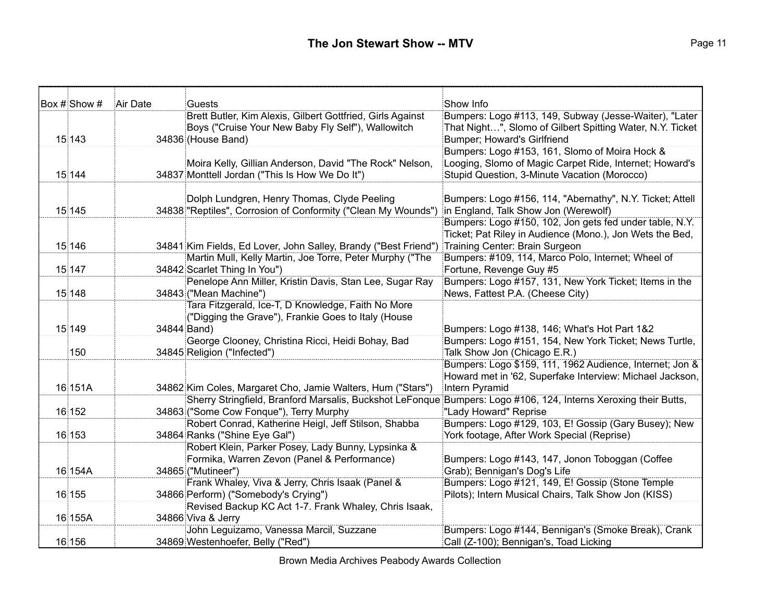| $\overline{\text{Box #}}$ Show # | Air Date    | Guests                                                                                                          | Show Info                                                 |
|----------------------------------|-------------|-----------------------------------------------------------------------------------------------------------------|-----------------------------------------------------------|
|                                  |             | Brett Butler, Kim Alexis, Gilbert Gottfried, Girls Against                                                      | Bumpers: Logo #113, 149, Subway (Jesse-Waiter), "Later    |
|                                  |             | Boys ("Cruise Your New Baby Fly Self"), Wallowitch                                                              | That Night", Slomo of Gilbert Spitting Water, N.Y. Ticket |
| 15 143                           |             | 34836 (House Band)                                                                                              | Bumper; Howard's Girlfriend                               |
|                                  |             |                                                                                                                 | Bumpers: Logo #153, 161, Slomo of Moira Hock &            |
|                                  |             | Moira Kelly, Gillian Anderson, David "The Rock" Nelson,                                                         | Looging, Slomo of Magic Carpet Ride, Internet; Howard's   |
| 15 144                           |             | 34837 Monttell Jordan ("This Is How We Do It")                                                                  | Stupid Question, 3-Minute Vacation (Morocco)              |
|                                  |             |                                                                                                                 |                                                           |
|                                  |             | Dolph Lundgren, Henry Thomas, Clyde Peeling                                                                     | Bumpers: Logo #156, 114, "Abernathy", N.Y. Ticket; Attell |
| 15 145                           |             | 34838 "Reptiles", Corrosion of Conformity ("Clean My Wounds")                                                   | in England, Talk Show Jon (Werewolf)                      |
|                                  |             |                                                                                                                 | Bumpers: Logo #150, 102, Jon gets fed under table, N.Y.   |
|                                  |             |                                                                                                                 | Ticket; Pat Riley in Audience (Mono.), Jon Wets the Bed,  |
| 15 146                           |             | 34841 Kim Fields, Ed Lover, John Salley, Brandy ("Best Friend")                                                 | Training Center: Brain Surgeon                            |
|                                  |             | Martin Mull, Kelly Martin, Joe Torre, Peter Murphy ("The                                                        | Bumpers: #109, 114, Marco Polo, Internet; Wheel of        |
| 15 147                           |             | 34842 Scarlet Thing In You")                                                                                    | Fortune, Revenge Guy #5                                   |
|                                  |             | Penelope Ann Miller, Kristin Davis, Stan Lee, Sugar Ray                                                         | Bumpers: Logo #157, 131, New York Ticket; Items in the    |
| 15 148                           |             | 34843 ("Mean Machine")                                                                                          | News, Fattest P.A. (Cheese City)                          |
|                                  |             | Tara Fitzgerald, Ice-T, D Knowledge, Faith No More                                                              |                                                           |
|                                  |             | ("Digging the Grave"), Frankie Goes to Italy (House                                                             |                                                           |
| 15 149                           | 34844 Band) |                                                                                                                 | Bumpers: Logo #138, 146; What's Hot Part 1&2              |
|                                  |             | George Clooney, Christina Ricci, Heidi Bohay, Bad                                                               | Bumpers: Logo #151, 154, New York Ticket; News Turtle,    |
| 150                              |             | 34845 Religion ("Infected")                                                                                     | Talk Show Jon (Chicago E.R.)                              |
|                                  |             |                                                                                                                 | Bumpers: Logo \$159, 111, 1962 Audience, Internet; Jon &  |
|                                  |             |                                                                                                                 | Howard met in '62, Superfake Interview: Michael Jackson,  |
| 16 151A                          |             | 34862 Kim Coles, Margaret Cho, Jamie Walters, Hum ("Stars")                                                     | Intern Pyramid                                            |
|                                  |             | Sherry Stringfield, Branford Marsalis, Buckshot LeFonque Bumpers: Logo #106, 124, Interns Xeroxing their Butts, |                                                           |
| 16 152                           |             | 34863 ("Some Cow Fonque"), Terry Murphy                                                                         | "Lady Howard" Reprise                                     |
|                                  |             | Robert Conrad, Katherine Heigl, Jeff Stilson, Shabba                                                            | Bumpers: Logo #129, 103, E! Gossip (Gary Busey); New      |
| 16 153                           |             | 34864 Ranks ("Shine Eye Gal")                                                                                   | York footage, After Work Special (Reprise)                |
|                                  |             | Robert Klein, Parker Posey, Lady Bunny, Lypsinka &                                                              |                                                           |
|                                  |             | Formika, Warren Zevon (Panel & Performance)                                                                     | Bumpers: Logo #143, 147, Jonon Toboggan (Coffee           |
| 16 154A                          |             | 34865 ("Mutineer")                                                                                              | Grab); Bennigan's Dog's Life                              |
|                                  |             | Frank Whaley, Viva & Jerry, Chris Isaak (Panel &                                                                | Bumpers: Logo #121, 149, E! Gossip (Stone Temple          |
| 16 155                           |             | 34866 Perform) ("Somebody's Crying")                                                                            | Pilots); Intern Musical Chairs, Talk Show Jon (KISS)      |
|                                  |             | Revised Backup KC Act 1-7. Frank Whaley, Chris Isaak,                                                           |                                                           |
| 16 155A                          |             | 34866 Viva & Jerry                                                                                              |                                                           |
|                                  |             | John Leguizamo, Vanessa Marcil, Suzzane                                                                         | Bumpers: Logo #144, Bennigan's (Smoke Break), Crank       |
| 16 156                           |             | 34869 Westenhoefer, Belly ("Red")                                                                               | Call (Z-100); Bennigan's, Toad Licking                    |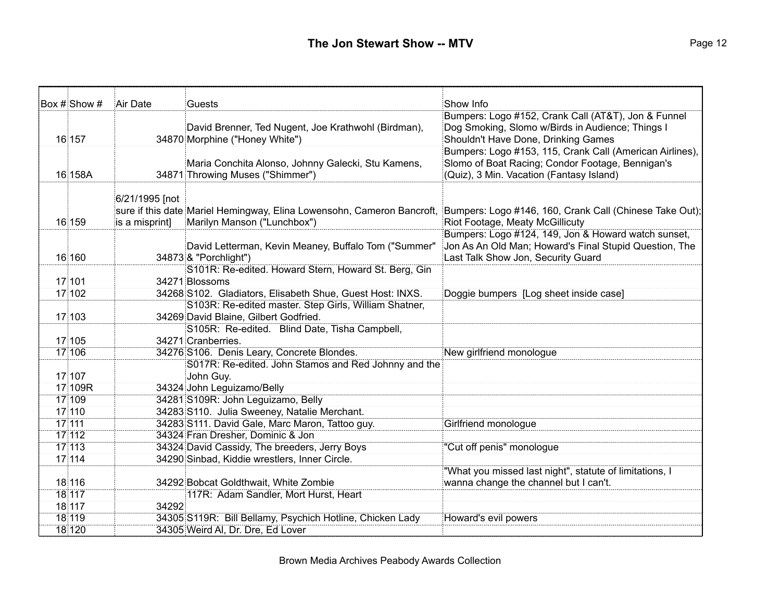| Box # Show # | Air Date       | Guests                                                                 | Show Info                                                |
|--------------|----------------|------------------------------------------------------------------------|----------------------------------------------------------|
|              |                |                                                                        | Bumpers: Logo #152, Crank Call (AT&T), Jon & Funnel      |
|              |                | David Brenner, Ted Nugent, Joe Krathwohl (Birdman),                    | Dog Smoking, Slomo w/Birds in Audience; Things I         |
| 16 157       |                | 34870 Morphine ("Honey White")                                         | Shouldn't Have Done, Drinking Games                      |
|              |                |                                                                        | Bumpers: Logo #153, 115, Crank Call (American Airlines), |
|              |                | Maria Conchita Alonso, Johnny Galecki, Stu Kamens,                     | Slomo of Boat Racing; Condor Footage, Bennigan's         |
| 16 158A      |                | 34871 Throwing Muses ("Shimmer")                                       | (Quiz), 3 Min. Vacation (Fantasy Island)                 |
|              |                |                                                                        |                                                          |
|              | 6/21/1995 [not |                                                                        |                                                          |
|              |                | sure if this date Mariel Hemingway, Elina Lowensohn, Cameron Bancroft, | Bumpers: Logo #146, 160, Crank Call (Chinese Take Out);  |
| 16 159       | is a misprint] | Marilyn Manson ("Lunchbox")                                            | Riot Footage, Meaty McGillicuty                          |
|              |                |                                                                        | Bumpers: Logo #124, 149, Jon & Howard watch sunset,      |
|              |                | David Letterman, Kevin Meaney, Buffalo Tom ("Summer"                   | Jon As An Old Man; Howard's Final Stupid Question, The   |
| 16 160       |                | 34873 & "Porchlight")                                                  | Last Talk Show Jon, Security Guard                       |
| 17 101       |                | S101R: Re-edited. Howard Stern, Howard St. Berg, Gin<br>34271 Blossoms |                                                          |
| 17 102       |                | 34268 S102. Gladiators, Elisabeth Shue, Guest Host: INXS.              |                                                          |
|              |                | S103R: Re-edited master. Step Girls, William Shatner,                  | Doggie bumpers [Log sheet inside case]                   |
| 17 103       |                | 34269 David Blaine, Gilbert Godfried.                                  |                                                          |
|              |                | S105R: Re-edited. Blind Date, Tisha Campbell,                          |                                                          |
| 17 105       |                | 34271 Cranberries.                                                     |                                                          |
| 17 106       |                | 34276 S106. Denis Leary, Concrete Blondes.                             | New girlfriend monologue                                 |
|              |                | S017R: Re-edited. John Stamos and Red Johnny and the                   |                                                          |
| 17 107       |                | John Guy.                                                              |                                                          |
| 17 109R      |                | 34324 John Leguizamo/Belly                                             |                                                          |
| 17 109       |                | 34281 S109R: John Leguizamo, Belly                                     |                                                          |
| 17 110       |                | 34283 S110. Julia Sweeney, Natalie Merchant.                           |                                                          |
| 17 111       |                | 34283 S111. David Gale, Marc Maron, Tattoo guy.                        | Girlfriend monologue                                     |
| 17 112       |                | 34324 Fran Dresher, Dominic & Jon                                      |                                                          |
| 17 113       |                | 34324 David Cassidy, The breeders, Jerry Boys                          | "Cut off penis" monologue                                |
| 17 114       |                | 34290 Sinbad, Kiddie wrestlers, Inner Circle.                          |                                                          |
|              |                |                                                                        | "What you missed last night", statute of limitations, I  |
| 18 116       |                | 34292 Bobcat Goldthwait, White Zombie                                  | wanna change the channel but I can't.                    |
| 18 117       |                | 117R: Adam Sandler, Mort Hurst, Heart                                  |                                                          |
| 18 117       | 34292          |                                                                        |                                                          |
| 18 119       |                | 34305 S119R: Bill Bellamy, Psychich Hotline, Chicken Lady              | Howard's evil powers                                     |
| 18 120       |                | 34305 Weird AI, Dr. Dre, Ed Lover                                      |                                                          |